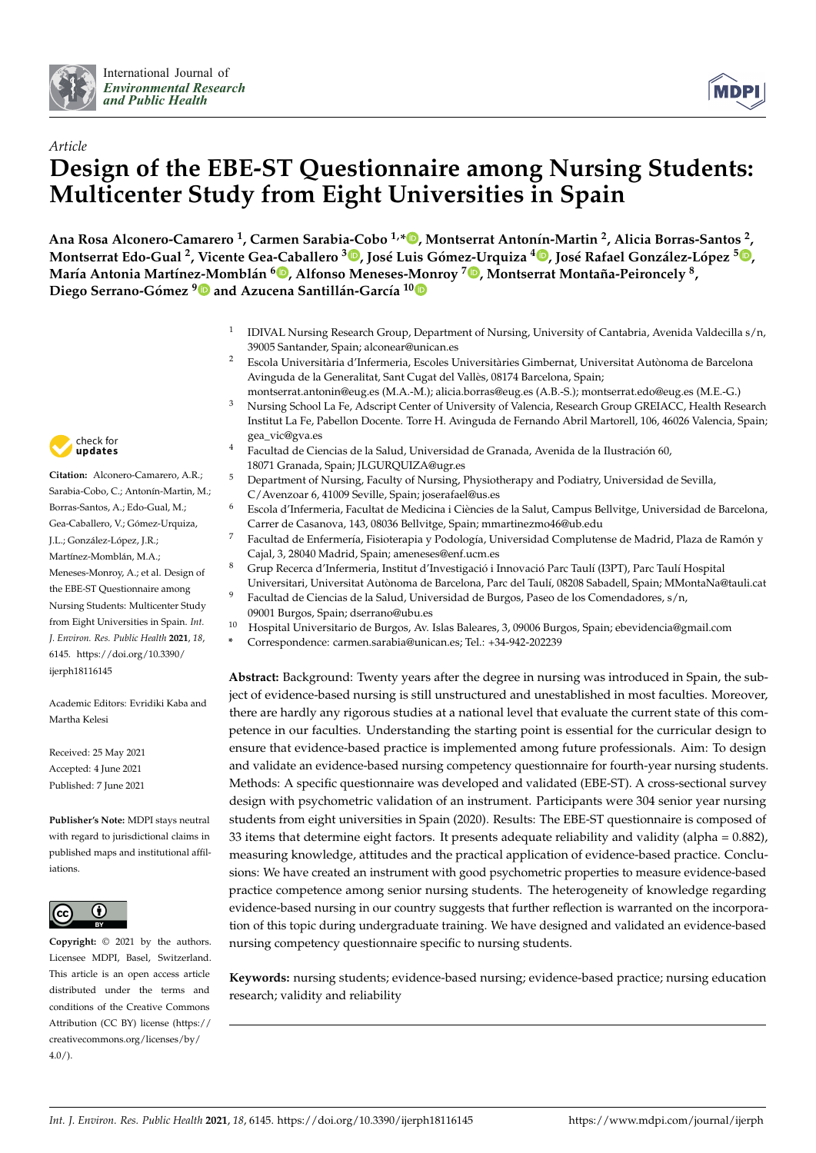



# *Article* **Design of the EBE-ST Questionnaire among Nursing Students: Multicenter Study from Eight Universities in Spain**

**Ana Rosa Alconero-Camarero <sup>1</sup> , Carmen Sarabia-Cobo 1,\* [,](https://orcid.org/0000-0002-7929-4042) Montserrat Antonín-Martin <sup>2</sup> , Alicia Borras-Santos <sup>2</sup> ,** Montserrat Edo-Gual <sup>2</sup>[,](https://orcid.org/0000-0002-8962-3540) Vicente Gea-Caballero <sup>3</sup>. José Luis Gómez-Urquiza <sup>[4](https://orcid.org/0000-0002-8684-1817)</sup>. José Rafael González-López <sup>5</sup>. , **María Antonia Martínez-Momblán 6 [,](https://orcid.org/0000-0002-5364-5270) Alfonso Meneses-[Mo](https://orcid.org/0000-0002-7376-4170)nroy <sup>7</sup> [,](https://orcid.org/0000-0003-0486-3164) Montserrat Montaña-Peironcely <sup>8</sup> , Diego Serrano-Gómez [9](https://orcid.org/0000-0003-4965-8869) and Azucena Santillán-García 10**

- 1 IDIVAL Nursing Research Group, Department of Nursing, University of Cantabria, Avenida Valdecilla s/n, 39005 Santander, Spain; alconear@unican.es
- <sup>2</sup> Escola Universitària d'Infermeria, Escoles Universitàries Gimbernat, Universitat Autònoma de Barcelona Avinguda de la Generalitat, Sant Cugat del Vallès, 08174 Barcelona, Spain;
- montserrat.antonin@eug.es (M.A.-M.); alicia.borras@eug.es (A.B.-S.); montserrat.edo@eug.es (M.E.-G.)
- <sup>3</sup> Nursing School La Fe, Adscript Center of University of Valencia, Research Group GREIACC, Health Research Institut La Fe, Pabellon Docente. Torre H. Avinguda de Fernando Abril Martorell, 106, 46026 Valencia, Spain; gea\_vic@gva.es
	- <sup>4</sup> Facultad de Ciencias de la Salud, Universidad de Granada, Avenida de la Ilustración 60, 18071 Granada, Spain; JLGURQUIZA@ugr.es
- $\frac{5}{5}$  Department of Nursing, Faculty of Nursing, Physiotherapy and Podiatry, Universidad de Sevilla, C/Avenzoar 6, 41009 Seville, Spain; joserafael@us.es
- <sup>6</sup> Escola d'Infermeria, Facultat de Medicina i Ciències de la Salut, Campus Bellvitge, Universidad de Barcelona, Carrer de Casanova, 143, 08036 Bellvitge, Spain; mmartinezmo46@ub.edu
- <sup>7</sup> Facultad de Enfermería, Fisioterapia y Podología, Universidad Complutense de Madrid, Plaza de Ramón y Cajal, 3, 28040 Madrid, Spain; ameneses@enf.ucm.es
- <sup>8</sup> Grup Recerca d'Infermeria, Institut d'Investigació i Innovació Parc Taulí (I3PT), Parc Taulí Hospital
- Universitari, Universitat Autònoma de Barcelona, Parc del Taulí, 08208 Sabadell, Spain; MMontaNa@tauli.cat <sup>9</sup> Facultad de Ciencias de la Salud, Universidad de Burgos, Paseo de los Comendadores, s/n,
- 09001 Burgos, Spain; dserrano@ubu.es
- <sup>10</sup> Hospital Universitario de Burgos, Av. Islas Baleares, 3, 09006 Burgos, Spain; ebevidencia@gmail.com
- **\*** Correspondence: carmen.sarabia@unican.es; Tel.: +34-942-202239

**Abstract:** Background: Twenty years after the degree in nursing was introduced in Spain, the subject of evidence-based nursing is still unstructured and unestablished in most faculties. Moreover, there are hardly any rigorous studies at a national level that evaluate the current state of this competence in our faculties. Understanding the starting point is essential for the curricular design to ensure that evidence-based practice is implemented among future professionals. Aim: To design and validate an evidence-based nursing competency questionnaire for fourth-year nursing students. Methods: A specific questionnaire was developed and validated (EBE-ST). A cross-sectional survey design with psychometric validation of an instrument. Participants were 304 senior year nursing students from eight universities in Spain (2020). Results: The EBE-ST questionnaire is composed of 33 items that determine eight factors. It presents adequate reliability and validity (alpha = 0.882), measuring knowledge, attitudes and the practical application of evidence-based practice. Conclusions: We have created an instrument with good psychometric properties to measure evidence-based practice competence among senior nursing students. The heterogeneity of knowledge regarding evidence-based nursing in our country suggests that further reflection is warranted on the incorporation of this topic during undergraduate training. We have designed and validated an evidence-based nursing competency questionnaire specific to nursing students.

**Keywords:** nursing students; evidence-based nursing; evidence-based practice; nursing education research; validity and reliability



**Citation:** Alconero-Camarero, A.R.; Sarabia-Cobo, C.; Antonín-Martin, M.; Borras-Santos, A.; Edo-Gual, M.; Gea-Caballero, V.; Gómez-Urquiza, J.L.; González-López, J.R.; Martínez-Momblán, M.A.; Meneses-Monroy, A.; et al. Design of the EBE-ST Questionnaire among Nursing Students: Multicenter Study from Eight Universities in Spain. *Int. J. Environ. Res. Public Health* **2021**, *18*, 6145. [https://doi.org/10.3390/](https://doi.org/10.3390/ijerph18116145) [ijerph18116145](https://doi.org/10.3390/ijerph18116145)

Academic Editors: Evridiki Kaba and Martha Kelesi

Received: 25 May 2021 Accepted: 4 June 2021 Published: 7 June 2021

**Publisher's Note:** MDPI stays neutral with regard to jurisdictional claims in published maps and institutional affiliations.



**Copyright:** © 2021 by the authors. Licensee MDPI, Basel, Switzerland. This article is an open access article distributed under the terms and conditions of the Creative Commons Attribution (CC BY) license (https:/[/](https://creativecommons.org/licenses/by/4.0/) [creativecommons.org/licenses/by/](https://creativecommons.org/licenses/by/4.0/)  $4.0/$ ).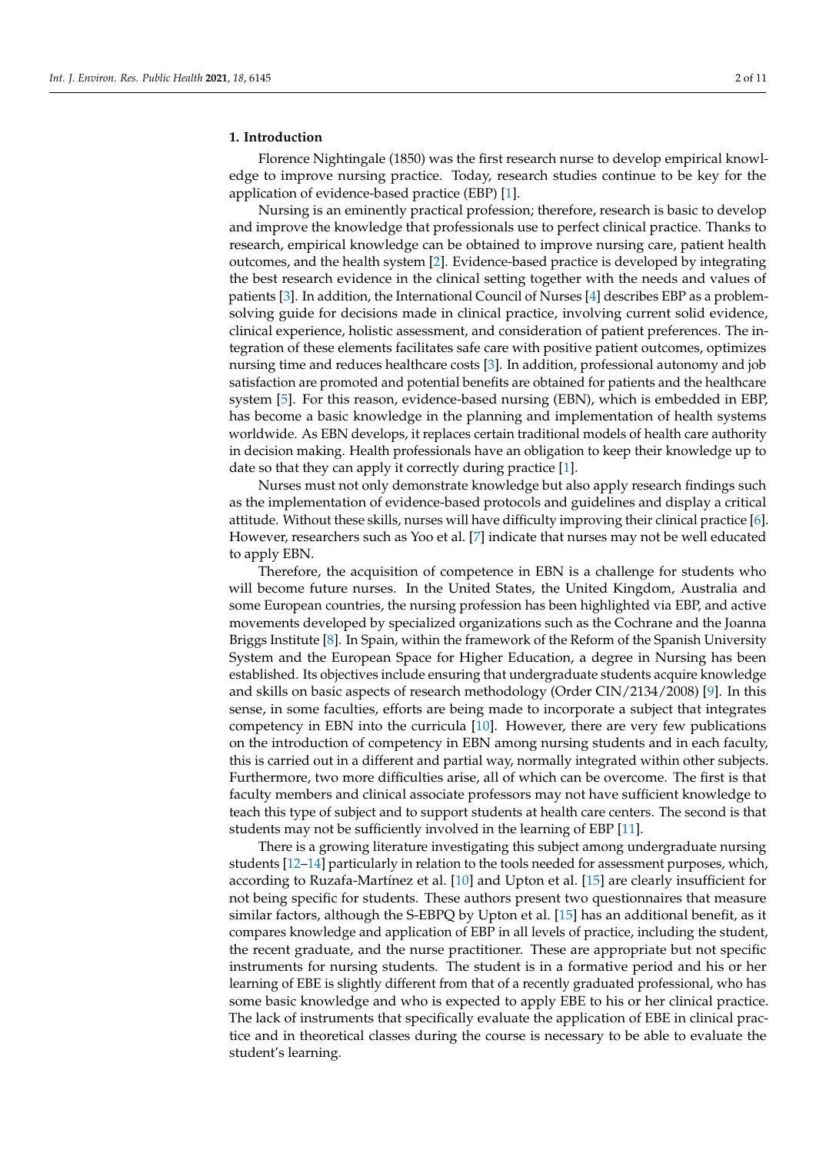#### **1. Introduction**

Florence Nightingale (1850) was the first research nurse to develop empirical knowledge to improve nursing practice. Today, research studies continue to be key for the application of evidence-based practice (EBP) [\[1\]](#page-9-0).

Nursing is an eminently practical profession; therefore, research is basic to develop and improve the knowledge that professionals use to perfect clinical practice. Thanks to research, empirical knowledge can be obtained to improve nursing care, patient health outcomes, and the health system [\[2\]](#page-9-1). Evidence-based practice is developed by integrating the best research evidence in the clinical setting together with the needs and values of patients [\[3\]](#page-9-2). In addition, the International Council of Nurses [\[4\]](#page-9-3) describes EBP as a problemsolving guide for decisions made in clinical practice, involving current solid evidence, clinical experience, holistic assessment, and consideration of patient preferences. The integration of these elements facilitates safe care with positive patient outcomes, optimizes nursing time and reduces healthcare costs [\[3\]](#page-9-2). In addition, professional autonomy and job satisfaction are promoted and potential benefits are obtained for patients and the healthcare system [\[5\]](#page-9-4). For this reason, evidence-based nursing (EBN), which is embedded in EBP, has become a basic knowledge in the planning and implementation of health systems worldwide. As EBN develops, it replaces certain traditional models of health care authority in decision making. Health professionals have an obligation to keep their knowledge up to date so that they can apply it correctly during practice [\[1\]](#page-9-0).

Nurses must not only demonstrate knowledge but also apply research findings such as the implementation of evidence-based protocols and guidelines and display a critical attitude. Without these skills, nurses will have difficulty improving their clinical practice [\[6\]](#page-9-5). However, researchers such as Yoo et al. [\[7\]](#page-9-6) indicate that nurses may not be well educated to apply EBN.

Therefore, the acquisition of competence in EBN is a challenge for students who will become future nurses. In the United States, the United Kingdom, Australia and some European countries, the nursing profession has been highlighted via EBP, and active movements developed by specialized organizations such as the Cochrane and the Joanna Briggs Institute [\[8\]](#page-9-7). In Spain, within the framework of the Reform of the Spanish University System and the European Space for Higher Education, a degree in Nursing has been established. Its objectives include ensuring that undergraduate students acquire knowledge and skills on basic aspects of research methodology (Order CIN/2134/2008) [\[9\]](#page-9-8). In this sense, in some faculties, efforts are being made to incorporate a subject that integrates competency in EBN into the curricula [\[10\]](#page-10-0). However, there are very few publications on the introduction of competency in EBN among nursing students and in each faculty, this is carried out in a different and partial way, normally integrated within other subjects. Furthermore, two more difficulties arise, all of which can be overcome. The first is that faculty members and clinical associate professors may not have sufficient knowledge to teach this type of subject and to support students at health care centers. The second is that students may not be sufficiently involved in the learning of EBP [\[11\]](#page-10-1).

There is a growing literature investigating this subject among undergraduate nursing students [\[12–](#page-10-2)[14\]](#page-10-3) particularly in relation to the tools needed for assessment purposes, which, according to Ruzafa-Martínez et al. [\[10\]](#page-10-0) and Upton et al. [\[15\]](#page-10-4) are clearly insufficient for not being specific for students. These authors present two questionnaires that measure similar factors, although the S-EBPQ by Upton et al. [\[15\]](#page-10-4) has an additional benefit, as it compares knowledge and application of EBP in all levels of practice, including the student, the recent graduate, and the nurse practitioner. These are appropriate but not specific instruments for nursing students. The student is in a formative period and his or her learning of EBE is slightly different from that of a recently graduated professional, who has some basic knowledge and who is expected to apply EBE to his or her clinical practice. The lack of instruments that specifically evaluate the application of EBE in clinical practice and in theoretical classes during the course is necessary to be able to evaluate the student's learning.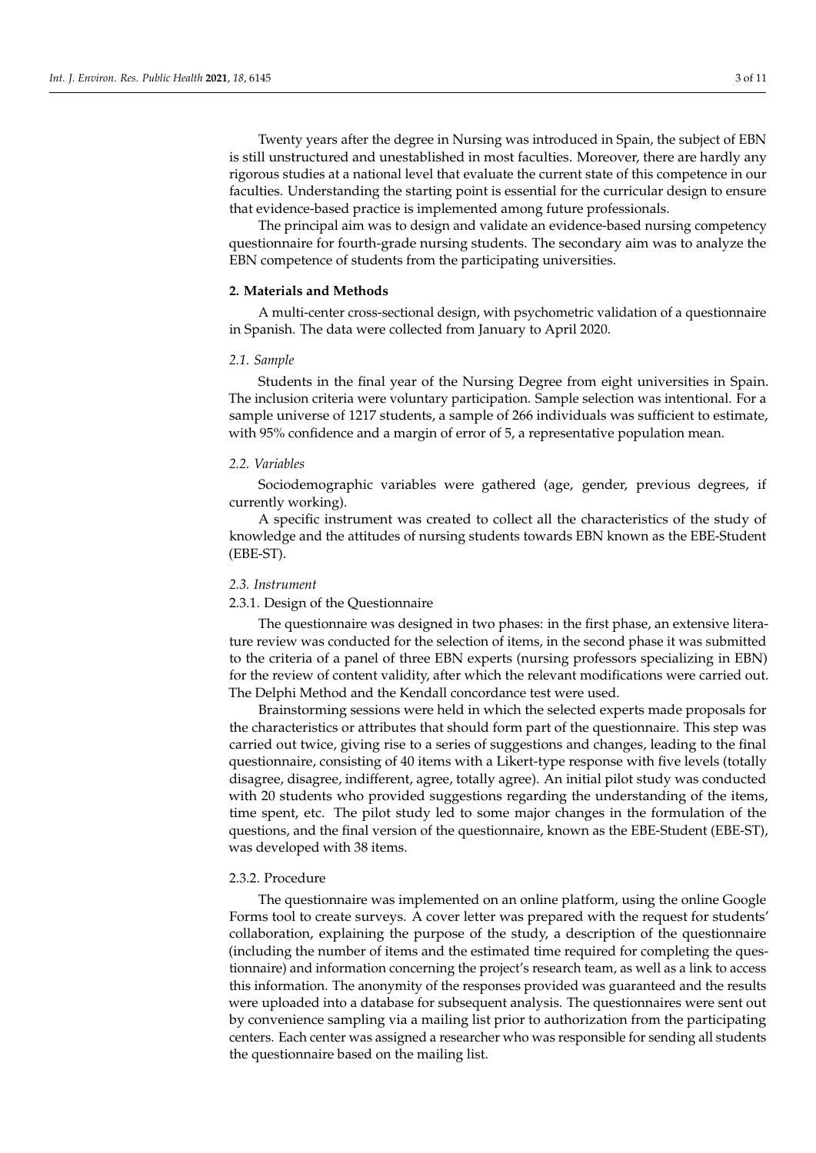Twenty years after the degree in Nursing was introduced in Spain, the subject of EBN is still unstructured and unestablished in most faculties. Moreover, there are hardly any rigorous studies at a national level that evaluate the current state of this competence in our faculties. Understanding the starting point is essential for the curricular design to ensure that evidence-based practice is implemented among future professionals.

The principal aim was to design and validate an evidence-based nursing competency questionnaire for fourth-grade nursing students. The secondary aim was to analyze the EBN competence of students from the participating universities.

# **2. Materials and Methods**

A multi-center cross-sectional design, with psychometric validation of a questionnaire in Spanish. The data were collected from January to April 2020.

#### *2.1. Sample*

Students in the final year of the Nursing Degree from eight universities in Spain. The inclusion criteria were voluntary participation. Sample selection was intentional. For a sample universe of 1217 students, a sample of 266 individuals was sufficient to estimate, with 95% confidence and a margin of error of 5, a representative population mean.

#### *2.2. Variables*

Sociodemographic variables were gathered (age, gender, previous degrees, if currently working).

A specific instrument was created to collect all the characteristics of the study of knowledge and the attitudes of nursing students towards EBN known as the EBE-Student (EBE-ST).

#### *2.3. Instrument*

# 2.3.1. Design of the Questionnaire

The questionnaire was designed in two phases: in the first phase, an extensive literature review was conducted for the selection of items, in the second phase it was submitted to the criteria of a panel of three EBN experts (nursing professors specializing in EBN) for the review of content validity, after which the relevant modifications were carried out. The Delphi Method and the Kendall concordance test were used.

Brainstorming sessions were held in which the selected experts made proposals for the characteristics or attributes that should form part of the questionnaire. This step was carried out twice, giving rise to a series of suggestions and changes, leading to the final questionnaire, consisting of 40 items with a Likert-type response with five levels (totally disagree, disagree, indifferent, agree, totally agree). An initial pilot study was conducted with 20 students who provided suggestions regarding the understanding of the items, time spent, etc. The pilot study led to some major changes in the formulation of the questions, and the final version of the questionnaire, known as the EBE-Student (EBE-ST), was developed with 38 items.

#### 2.3.2. Procedure

The questionnaire was implemented on an online platform, using the online Google Forms tool to create surveys. A cover letter was prepared with the request for students' collaboration, explaining the purpose of the study, a description of the questionnaire (including the number of items and the estimated time required for completing the questionnaire) and information concerning the project's research team, as well as a link to access this information. The anonymity of the responses provided was guaranteed and the results were uploaded into a database for subsequent analysis. The questionnaires were sent out by convenience sampling via a mailing list prior to authorization from the participating centers. Each center was assigned a researcher who was responsible for sending all students the questionnaire based on the mailing list.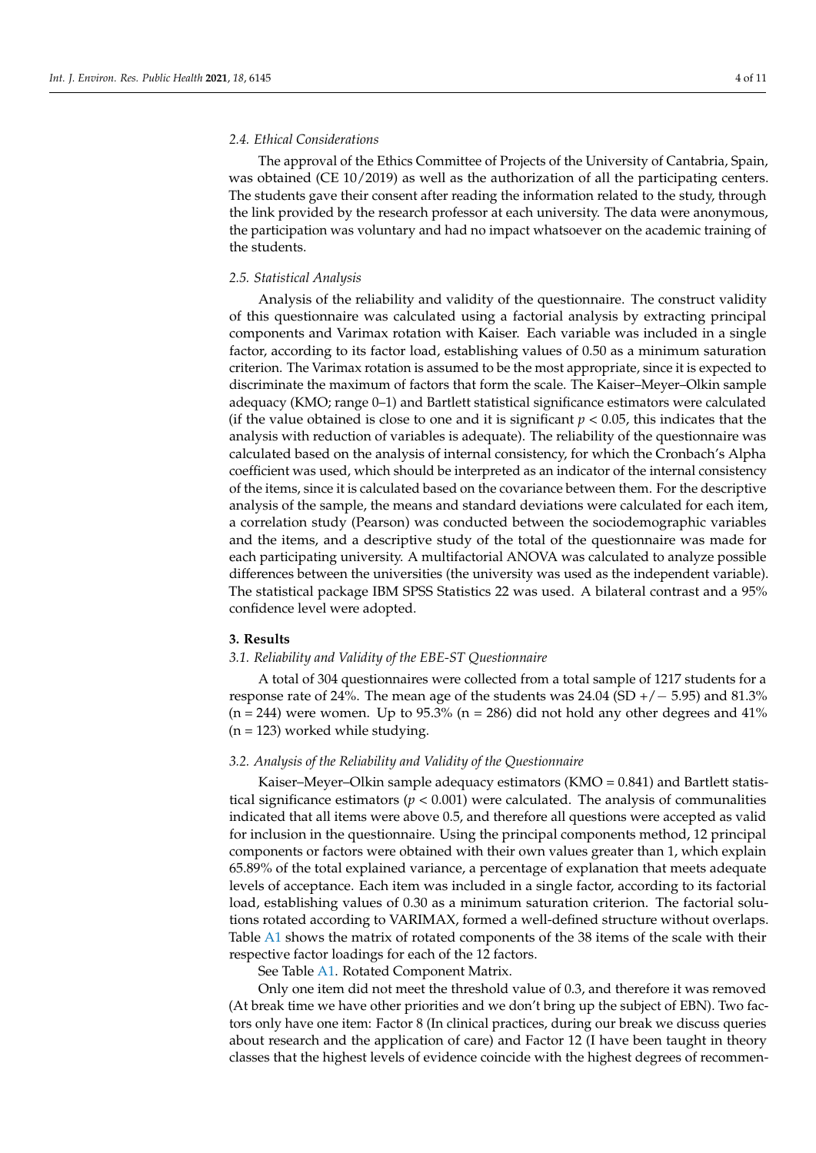# *2.4. Ethical Considerations*

The approval of the Ethics Committee of Projects of the University of Cantabria, Spain, was obtained (CE 10/2019) as well as the authorization of all the participating centers. The students gave their consent after reading the information related to the study, through the link provided by the research professor at each university. The data were anonymous, the participation was voluntary and had no impact whatsoever on the academic training of the students.

# *2.5. Statistical Analysis*

Analysis of the reliability and validity of the questionnaire. The construct validity of this questionnaire was calculated using a factorial analysis by extracting principal components and Varimax rotation with Kaiser. Each variable was included in a single factor, according to its factor load, establishing values of 0.50 as a minimum saturation criterion. The Varimax rotation is assumed to be the most appropriate, since it is expected to discriminate the maximum of factors that form the scale. The Kaiser–Meyer–Olkin sample adequacy (KMO; range 0–1) and Bartlett statistical significance estimators were calculated (if the value obtained is close to one and it is significant  $p < 0.05$ , this indicates that the analysis with reduction of variables is adequate). The reliability of the questionnaire was calculated based on the analysis of internal consistency, for which the Cronbach's Alpha coefficient was used, which should be interpreted as an indicator of the internal consistency of the items, since it is calculated based on the covariance between them. For the descriptive analysis of the sample, the means and standard deviations were calculated for each item, a correlation study (Pearson) was conducted between the sociodemographic variables and the items, and a descriptive study of the total of the questionnaire was made for each participating university. A multifactorial ANOVA was calculated to analyze possible differences between the universities (the university was used as the independent variable). The statistical package IBM SPSS Statistics 22 was used. A bilateral contrast and a 95% confidence level were adopted.

# **3. Results**

# *3.1. Reliability and Validity of the EBE-ST Questionnaire*

A total of 304 questionnaires were collected from a total sample of 1217 students for a response rate of 24%. The mean age of the students was  $24.04$  (SD +/ $-5.95$ ) and 81.3%  $(n = 244)$  were women. Up to 95.3%  $(n = 286)$  did not hold any other degrees and 41%  $(n = 123)$  worked while studying.

# *3.2. Analysis of the Reliability and Validity of the Questionnaire*

Kaiser–Meyer–Olkin sample adequacy estimators  $(KMO = 0.841)$  and Bartlett statistical significance estimators ( $p < 0.001$ ) were calculated. The analysis of communalities indicated that all items were above 0.5, and therefore all questions were accepted as valid for inclusion in the questionnaire. Using the principal components method, 12 principal components or factors were obtained with their own values greater than 1, which explain 65.89% of the total explained variance, a percentage of explanation that meets adequate levels of acceptance. Each item was included in a single factor, according to its factorial load, establishing values of 0.30 as a minimum saturation criterion. The factorial solutions rotated according to VARIMAX, formed a well-defined structure without overlaps. Table [A1](#page-8-0) shows the matrix of rotated components of the 38 items of the scale with their respective factor loadings for each of the 12 factors.

See Table [A1.](#page-8-0) Rotated Component Matrix.

Only one item did not meet the threshold value of 0.3, and therefore it was removed (At break time we have other priorities and we don't bring up the subject of EBN). Two factors only have one item: Factor 8 (In clinical practices, during our break we discuss queries about research and the application of care) and Factor 12 (I have been taught in theory classes that the highest levels of evidence coincide with the highest degrees of recommen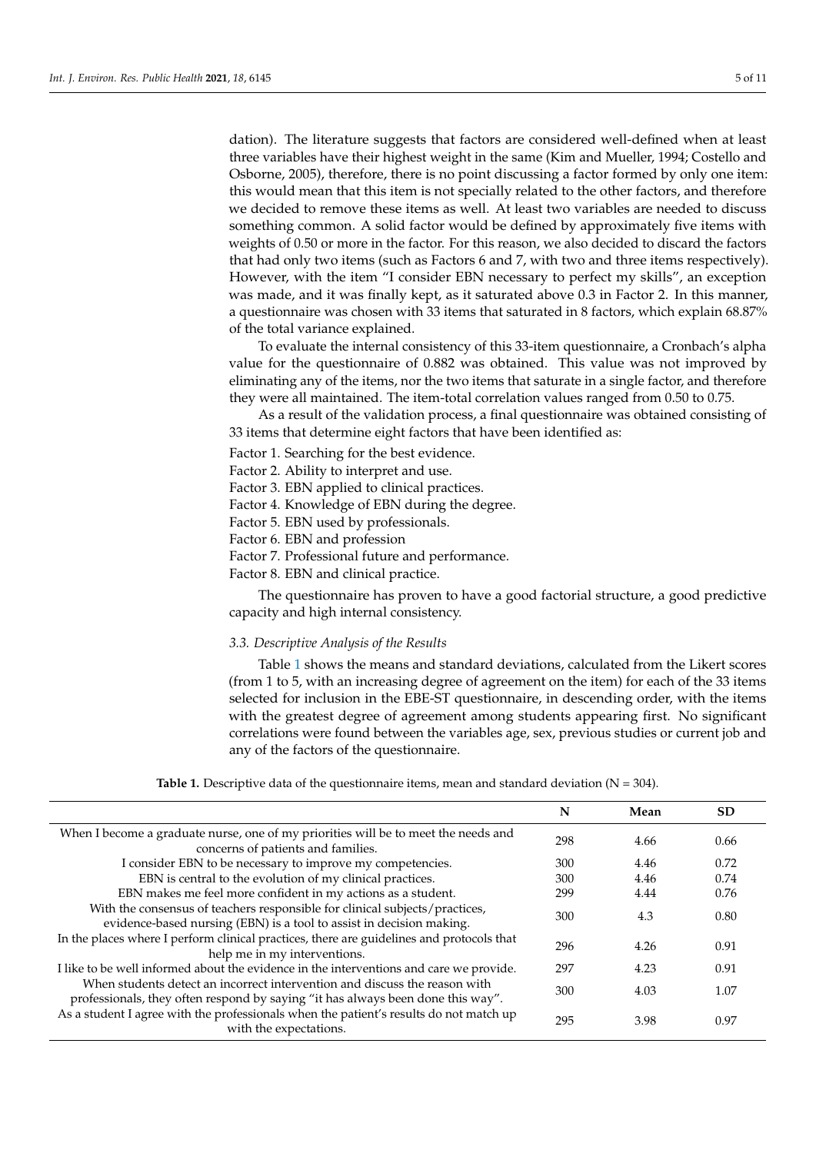dation). The literature suggests that factors are considered well-defined when at least three variables have their highest weight in the same (Kim and Mueller, 1994; Costello and Osborne, 2005), therefore, there is no point discussing a factor formed by only one item: this would mean that this item is not specially related to the other factors, and therefore we decided to remove these items as well. At least two variables are needed to discuss something common. A solid factor would be defined by approximately five items with weights of 0.50 or more in the factor. For this reason, we also decided to discard the factors that had only two items (such as Factors 6 and 7, with two and three items respectively). However, with the item "I consider EBN necessary to perfect my skills", an exception was made, and it was finally kept, as it saturated above 0.3 in Factor 2. In this manner, a questionnaire was chosen with 33 items that saturated in 8 factors, which explain 68.87% of the total variance explained.

To evaluate the internal consistency of this 33-item questionnaire, a Cronbach's alpha value for the questionnaire of 0.882 was obtained. This value was not improved by eliminating any of the items, nor the two items that saturate in a single factor, and therefore they were all maintained. The item-total correlation values ranged from 0.50 to 0.75.

As a result of the validation process, a final questionnaire was obtained consisting of 33 items that determine eight factors that have been identified as:

Factor 1. Searching for the best evidence.

Factor 2. Ability to interpret and use.

- Factor 3. EBN applied to clinical practices.
- Factor 4. Knowledge of EBN during the degree.
- Factor 5. EBN used by professionals.

Factor 6. EBN and profession

- Factor 7. Professional future and performance.
- Factor 8. EBN and clinical practice.

The questionnaire has proven to have a good factorial structure, a good predictive capacity and high internal consistency.

#### *3.3. Descriptive Analysis of the Results*

Table [1](#page-4-0) shows the means and standard deviations, calculated from the Likert scores (from 1 to 5, with an increasing degree of agreement on the item) for each of the 33 items selected for inclusion in the EBE-ST questionnaire, in descending order, with the items with the greatest degree of agreement among students appearing first. No significant correlations were found between the variables age, sex, previous studies or current job and any of the factors of the questionnaire.

<span id="page-4-0"></span>

|                                                                                                                                                               | N   | Mean | <b>SD</b> |
|---------------------------------------------------------------------------------------------------------------------------------------------------------------|-----|------|-----------|
| When I become a graduate nurse, one of my priorities will be to meet the needs and<br>concerns of patients and families.                                      | 298 | 4.66 | 0.66      |
| I consider EBN to be necessary to improve my competencies.                                                                                                    | 300 | 4.46 | 0.72      |
| EBN is central to the evolution of my clinical practices.                                                                                                     | 300 | 4.46 | 0.74      |
| EBN makes me feel more confident in my actions as a student.                                                                                                  | 299 | 4.44 | 0.76      |
| With the consensus of teachers responsible for clinical subjects/practices,<br>evidence-based nursing (EBN) is a tool to assist in decision making.           | 300 | 4.3  | 0.80      |
| In the places where I perform clinical practices, there are guidelines and protocols that<br>help me in my interventions.                                     | 296 | 4.26 | 0.91      |
| I like to be well informed about the evidence in the interventions and care we provide.                                                                       | 297 | 4.23 | 0.91      |
| When students detect an incorrect intervention and discuss the reason with<br>professionals, they often respond by saying "it has always been done this way". | 300 | 4.03 | 1.07      |
| As a student I agree with the professionals when the patient's results do not match up<br>with the expectations.                                              | 295 | 3.98 | 0.97      |
|                                                                                                                                                               |     |      |           |

**Table 1.** Descriptive data of the questionnaire items, mean and standard deviation  $(N = 304)$ .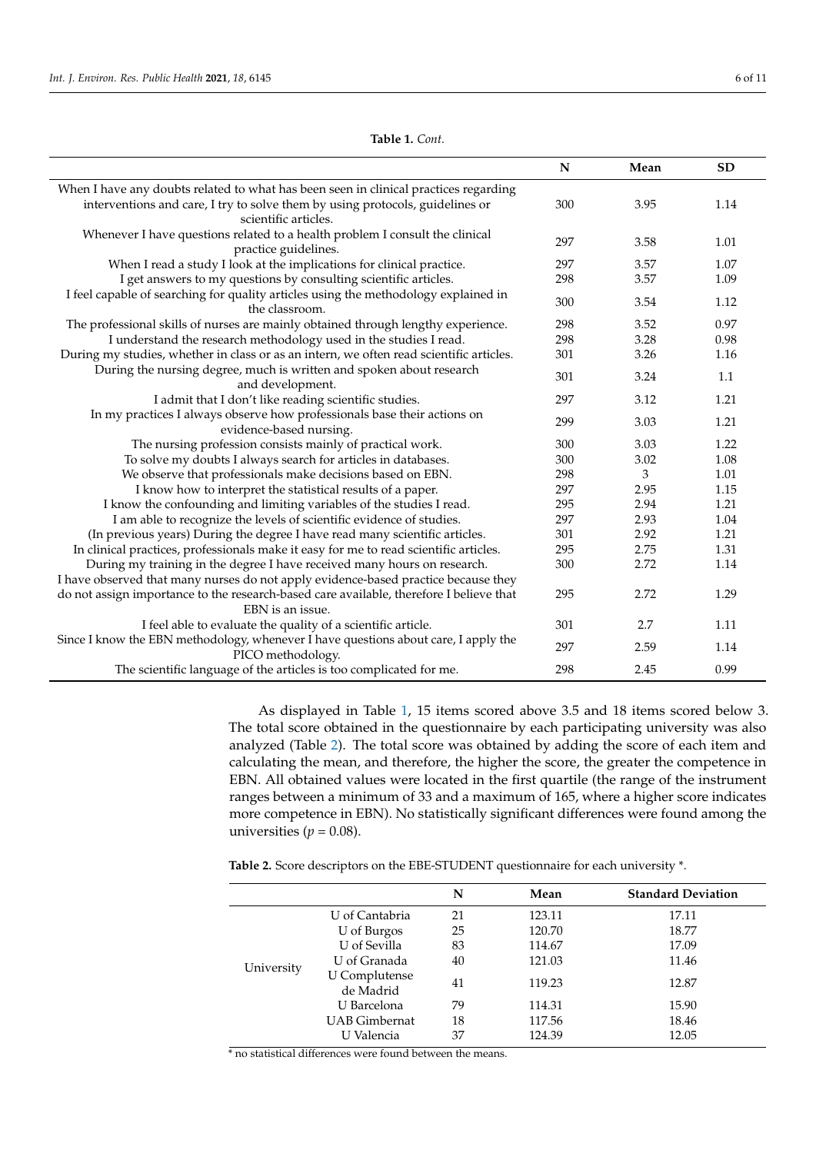|                                                                                                          | N   | Mean | <b>SD</b> |
|----------------------------------------------------------------------------------------------------------|-----|------|-----------|
| When I have any doubts related to what has been seen in clinical practices regarding                     |     |      |           |
| interventions and care, I try to solve them by using protocols, guidelines or                            | 300 | 3.95 | 1.14      |
| scientific articles.                                                                                     |     |      |           |
| Whenever I have questions related to a health problem I consult the clinical                             | 297 | 3.58 | 1.01      |
| practice guidelines.                                                                                     |     |      |           |
| When I read a study I look at the implications for clinical practice.                                    | 297 | 3.57 | 1.07      |
| I get answers to my questions by consulting scientific articles.                                         | 298 | 3.57 | 1.09      |
| I feel capable of searching for quality articles using the methodology explained in<br>the classroom.    | 300 | 3.54 | 1.12      |
| The professional skills of nurses are mainly obtained through lengthy experience.                        | 298 | 3.52 | 0.97      |
| I understand the research methodology used in the studies I read.                                        | 298 | 3.28 | 0.98      |
| During my studies, whether in class or as an intern, we often read scientific articles.                  | 301 | 3.26 | 1.16      |
| During the nursing degree, much is written and spoken about research                                     | 301 | 3.24 |           |
| and development.                                                                                         |     |      | 1.1       |
| I admit that I don't like reading scientific studies.                                                    | 297 | 3.12 | 1.21      |
| In my practices I always observe how professionals base their actions on<br>evidence-based nursing.      | 299 | 3.03 | 1.21      |
| The nursing profession consists mainly of practical work.                                                | 300 | 3.03 | 1.22      |
| To solve my doubts I always search for articles in databases.                                            | 300 | 3.02 | 1.08      |
| We observe that professionals make decisions based on EBN.                                               | 298 | 3    | 1.01      |
| I know how to interpret the statistical results of a paper.                                              | 297 | 2.95 | 1.15      |
| I know the confounding and limiting variables of the studies I read.                                     | 295 | 2.94 | 1.21      |
| I am able to recognize the levels of scientific evidence of studies.                                     | 297 | 2.93 | 1.04      |
| (In previous years) During the degree I have read many scientific articles.                              | 301 | 2.92 | 1.21      |
| In clinical practices, professionals make it easy for me to read scientific articles.                    | 295 | 2.75 | 1.31      |
| During my training in the degree I have received many hours on research.                                 | 300 | 2.72 | 1.14      |
| I have observed that many nurses do not apply evidence-based practice because they                       |     |      |           |
| do not assign importance to the research-based care available, therefore I believe that                  | 295 | 2.72 | 1.29      |
| EBN is an issue.                                                                                         |     |      |           |
| I feel able to evaluate the quality of a scientific article.                                             | 301 | 2.7  | 1.11      |
| Since I know the EBN methodology, whenever I have questions about care, I apply the<br>PICO methodology. | 297 | 2.59 | 1.14      |
| The scientific language of the articles is too complicated for me.                                       | 298 | 2.45 | 0.99      |

**Table 1.** *Cont.*

As displayed in Table [1,](#page-4-0) 15 items scored above 3.5 and 18 items scored below 3. The total score obtained in the questionnaire by each participating university was also analyzed (Table [2\)](#page-5-0). The total score was obtained by adding the score of each item and calculating the mean, and therefore, the higher the score, the greater the competence in EBN. All obtained values were located in the first quartile (the range of the instrument ranges between a minimum of 33 and a maximum of 165, where a higher score indicates more competence in EBN). No statistically significant differences were found among the universities ( $p = 0.08$ ).

<span id="page-5-0"></span>**Table 2.** Score descriptors on the EBE-STUDENT questionnaire for each university \*.

|            |                                   | N  | Mean   | <b>Standard Deviation</b> |
|------------|-----------------------------------|----|--------|---------------------------|
|            | U of Cantabria                    | 21 | 123.11 | 17.11                     |
|            | U of Burgos                       | 25 | 120.70 | 18.77                     |
| University | U of Sevilla                      | 83 | 114.67 | 17.09                     |
|            | U of Granada                      | 40 | 121.03 | 11.46                     |
|            | <b>U</b> Complutense<br>de Madrid | 41 | 119.23 | 12.87                     |
|            | U Barcelona                       | 79 | 114.31 | 15.90                     |
|            | <b>UAB</b> Gimbernat              | 18 | 117.56 | 18.46                     |
|            | U Valencia                        | 37 | 124.39 | 12.05                     |

\* no statistical differences were found between the means.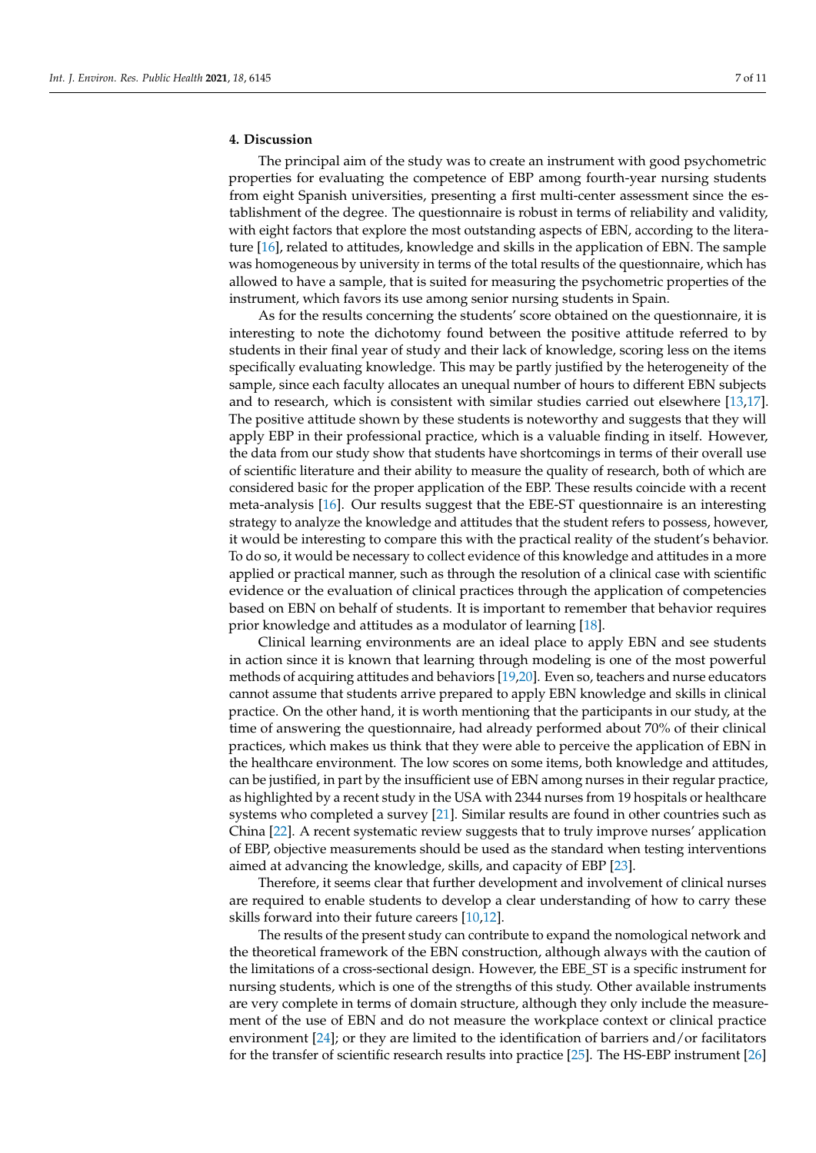# **4. Discussion**

The principal aim of the study was to create an instrument with good psychometric properties for evaluating the competence of EBP among fourth-year nursing students from eight Spanish universities, presenting a first multi-center assessment since the establishment of the degree. The questionnaire is robust in terms of reliability and validity, with eight factors that explore the most outstanding aspects of EBN, according to the literature [\[16\]](#page-10-5), related to attitudes, knowledge and skills in the application of EBN. The sample was homogeneous by university in terms of the total results of the questionnaire, which has allowed to have a sample, that is suited for measuring the psychometric properties of the instrument, which favors its use among senior nursing students in Spain.

As for the results concerning the students' score obtained on the questionnaire, it is interesting to note the dichotomy found between the positive attitude referred to by students in their final year of study and their lack of knowledge, scoring less on the items specifically evaluating knowledge. This may be partly justified by the heterogeneity of the sample, since each faculty allocates an unequal number of hours to different EBN subjects and to research, which is consistent with similar studies carried out elsewhere [\[13,](#page-10-6)[17\]](#page-10-7). The positive attitude shown by these students is noteworthy and suggests that they will apply EBP in their professional practice, which is a valuable finding in itself. However, the data from our study show that students have shortcomings in terms of their overall use of scientific literature and their ability to measure the quality of research, both of which are considered basic for the proper application of the EBP. These results coincide with a recent meta-analysis [\[16\]](#page-10-5). Our results suggest that the EBE-ST questionnaire is an interesting strategy to analyze the knowledge and attitudes that the student refers to possess, however, it would be interesting to compare this with the practical reality of the student's behavior. To do so, it would be necessary to collect evidence of this knowledge and attitudes in a more applied or practical manner, such as through the resolution of a clinical case with scientific evidence or the evaluation of clinical practices through the application of competencies based on EBN on behalf of students. It is important to remember that behavior requires prior knowledge and attitudes as a modulator of learning [\[18\]](#page-10-8).

Clinical learning environments are an ideal place to apply EBN and see students in action since it is known that learning through modeling is one of the most powerful methods of acquiring attitudes and behaviors [\[19](#page-10-9)[,20\]](#page-10-10). Even so, teachers and nurse educators cannot assume that students arrive prepared to apply EBN knowledge and skills in clinical practice. On the other hand, it is worth mentioning that the participants in our study, at the time of answering the questionnaire, had already performed about 70% of their clinical practices, which makes us think that they were able to perceive the application of EBN in the healthcare environment. The low scores on some items, both knowledge and attitudes, can be justified, in part by the insufficient use of EBN among nurses in their regular practice, as highlighted by a recent study in the USA with 2344 nurses from 19 hospitals or healthcare systems who completed a survey [\[21\]](#page-10-11). Similar results are found in other countries such as China [\[22\]](#page-10-12). A recent systematic review suggests that to truly improve nurses' application of EBP, objective measurements should be used as the standard when testing interventions aimed at advancing the knowledge, skills, and capacity of EBP [\[23\]](#page-10-13).

Therefore, it seems clear that further development and involvement of clinical nurses are required to enable students to develop a clear understanding of how to carry these skills forward into their future careers [\[10,](#page-10-0)[12\]](#page-10-2).

The results of the present study can contribute to expand the nomological network and the theoretical framework of the EBN construction, although always with the caution of the limitations of a cross-sectional design. However, the EBE\_ST is a specific instrument for nursing students, which is one of the strengths of this study. Other available instruments are very complete in terms of domain structure, although they only include the measurement of the use of EBN and do not measure the workplace context or clinical practice environment [\[24\]](#page-10-14); or they are limited to the identification of barriers and/or facilitators for the transfer of scientific research results into practice [\[25\]](#page-10-15). The HS-EBP instrument [\[26\]](#page-10-16)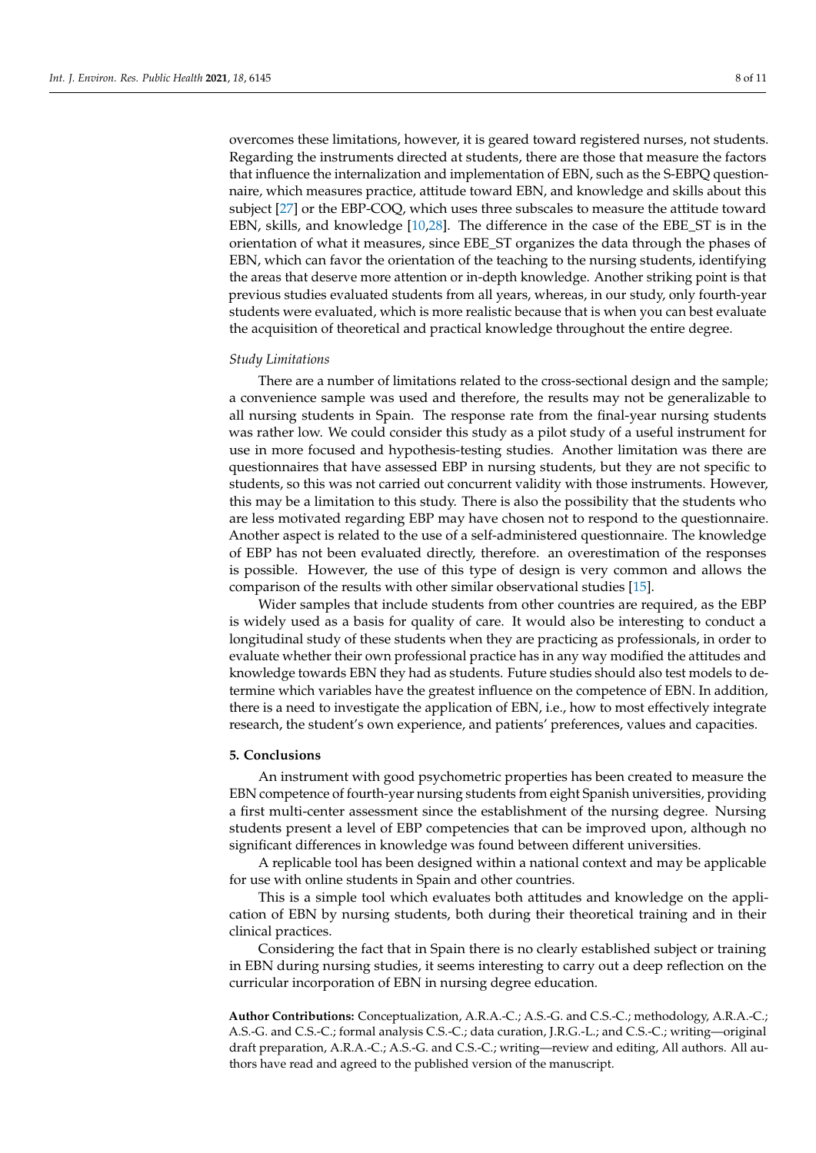overcomes these limitations, however, it is geared toward registered nurses, not students. Regarding the instruments directed at students, there are those that measure the factors that influence the internalization and implementation of EBN, such as the S-EBPQ questionnaire, which measures practice, attitude toward EBN, and knowledge and skills about this subject [\[27\]](#page-10-17) or the EBP-COQ, which uses three subscales to measure the attitude toward EBN, skills, and knowledge [\[10](#page-10-0)[,28\]](#page-10-18). The difference in the case of the EBE\_ST is in the orientation of what it measures, since EBE\_ST organizes the data through the phases of EBN, which can favor the orientation of the teaching to the nursing students, identifying the areas that deserve more attention or in-depth knowledge. Another striking point is that previous studies evaluated students from all years, whereas, in our study, only fourth-year students were evaluated, which is more realistic because that is when you can best evaluate the acquisition of theoretical and practical knowledge throughout the entire degree.

#### *Study Limitations*

There are a number of limitations related to the cross-sectional design and the sample; a convenience sample was used and therefore, the results may not be generalizable to all nursing students in Spain. The response rate from the final-year nursing students was rather low. We could consider this study as a pilot study of a useful instrument for use in more focused and hypothesis-testing studies. Another limitation was there are questionnaires that have assessed EBP in nursing students, but they are not specific to students, so this was not carried out concurrent validity with those instruments. However, this may be a limitation to this study. There is also the possibility that the students who are less motivated regarding EBP may have chosen not to respond to the questionnaire. Another aspect is related to the use of a self-administered questionnaire. The knowledge of EBP has not been evaluated directly, therefore. an overestimation of the responses is possible. However, the use of this type of design is very common and allows the comparison of the results with other similar observational studies [\[15\]](#page-10-4).

Wider samples that include students from other countries are required, as the EBP is widely used as a basis for quality of care. It would also be interesting to conduct a longitudinal study of these students when they are practicing as professionals, in order to evaluate whether their own professional practice has in any way modified the attitudes and knowledge towards EBN they had as students. Future studies should also test models to determine which variables have the greatest influence on the competence of EBN. In addition, there is a need to investigate the application of EBN, i.e., how to most effectively integrate research, the student's own experience, and patients' preferences, values and capacities.

#### **5. Conclusions**

An instrument with good psychometric properties has been created to measure the EBN competence of fourth-year nursing students from eight Spanish universities, providing a first multi-center assessment since the establishment of the nursing degree. Nursing students present a level of EBP competencies that can be improved upon, although no significant differences in knowledge was found between different universities.

A replicable tool has been designed within a national context and may be applicable for use with online students in Spain and other countries.

This is a simple tool which evaluates both attitudes and knowledge on the application of EBN by nursing students, both during their theoretical training and in their clinical practices.

Considering the fact that in Spain there is no clearly established subject or training in EBN during nursing studies, it seems interesting to carry out a deep reflection on the curricular incorporation of EBN in nursing degree education.

**Author Contributions:** Conceptualization, A.R.A.-C.; A.S.-G. and C.S.-C.; methodology, A.R.A.-C.; A.S.-G. and C.S.-C.; formal analysis C.S.-C.; data curation, J.R.G.-L.; and C.S.-C.; writing—original draft preparation, A.R.A.-C.; A.S.-G. and C.S.-C.; writing—review and editing, All authors. All authors have read and agreed to the published version of the manuscript.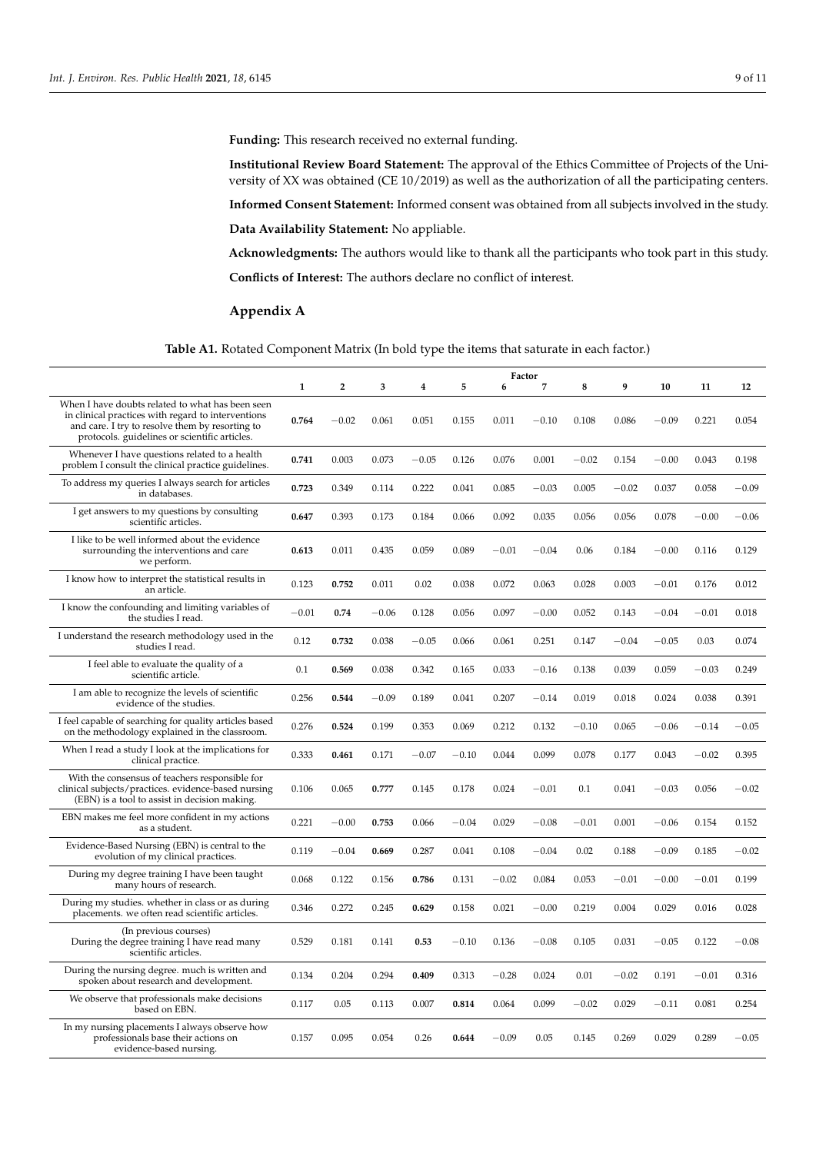**Funding:** This research received no external funding.

**Institutional Review Board Statement:** The approval of the Ethics Committee of Projects of the University of XX was obtained (CE 10/2019) as well as the authorization of all the participating centers.

**Informed Consent Statement:** Informed consent was obtained from all subjects involved in the study.

**Data Availability Statement:** No appliable.

**Acknowledgments:** The authors would like to thank all the participants who took part in this study. **Conflicts of Interest:** The authors declare no conflict of interest.

# **Appendix A**

# **Table A1.** Rotated Component Matrix (In bold type the items that saturate in each factor.)

<span id="page-8-0"></span>

|                                                                                                                                                                                                            | Factor       |                |         |         |         |         |                |         |         |         |         |         |
|------------------------------------------------------------------------------------------------------------------------------------------------------------------------------------------------------------|--------------|----------------|---------|---------|---------|---------|----------------|---------|---------|---------|---------|---------|
|                                                                                                                                                                                                            | $\mathbf{1}$ | $\overline{2}$ | 3       | 4       | 5       | 6       | $\overline{7}$ | 8       | 9       | 10      | 11      | 12      |
| When I have doubts related to what has been seen<br>in clinical practices with regard to interventions<br>and care. I try to resolve them by resorting to<br>protocols. guidelines or scientific articles. | 0.764        | $-0.02$        | 0.061   | 0.051   | 0.155   | 0.011   | $-0.10$        | 0.108   | 0.086   | $-0.09$ | 0.221   | 0.054   |
| Whenever I have questions related to a health<br>problem I consult the clinical practice guidelines.                                                                                                       | 0.741        | 0.003          | 0.073   | $-0.05$ | 0.126   | 0.076   | 0.001          | $-0.02$ | 0.154   | $-0.00$ | 0.043   | 0.198   |
| To address my queries I always search for articles<br>in databases.                                                                                                                                        | 0.723        | 0.349          | 0.114   | 0.222   | 0.041   | 0.085   | $-0.03$        | 0.005   | $-0.02$ | 0.037   | 0.058   | $-0.09$ |
| I get answers to my questions by consulting<br>scientific articles.                                                                                                                                        | 0.647        | 0.393          | 0.173   | 0.184   | 0.066   | 0.092   | 0.035          | 0.056   | 0.056   | 0.078   | $-0.00$ | $-0.06$ |
| I like to be well informed about the evidence<br>surrounding the interventions and care<br>we perform.                                                                                                     | 0.613        | 0.011          | 0.435   | 0.059   | 0.089   | $-0.01$ | $-0.04$        | 0.06    | 0.184   | $-0.00$ | 0.116   | 0.129   |
| I know how to interpret the statistical results in<br>an article.                                                                                                                                          | 0.123        | 0.752          | 0.011   | 0.02    | 0.038   | 0.072   | 0.063          | 0.028   | 0.003   | $-0.01$ | 0.176   | 0.012   |
| I know the confounding and limiting variables of<br>the studies I read.                                                                                                                                    | $-0.01$      | 0.74           | $-0.06$ | 0.128   | 0.056   | 0.097   | $-0.00$        | 0.052   | 0.143   | $-0.04$ | $-0.01$ | 0.018   |
| I understand the research methodology used in the<br>studies I read.                                                                                                                                       | 0.12         | 0.732          | 0.038   | $-0.05$ | 0.066   | 0.061   | 0.251          | 0.147   | $-0.04$ | $-0.05$ | 0.03    | 0.074   |
| I feel able to evaluate the quality of a<br>scientific article.                                                                                                                                            | 0.1          | 0.569          | 0.038   | 0.342   | 0.165   | 0.033   | $-0.16$        | 0.138   | 0.039   | 0.059   | $-0.03$ | 0.249   |
| I am able to recognize the levels of scientific<br>evidence of the studies.                                                                                                                                | 0.256        | 0.544          | $-0.09$ | 0.189   | 0.041   | 0.207   | $-0.14$        | 0.019   | 0.018   | 0.024   | 0.038   | 0.391   |
| I feel capable of searching for quality articles based<br>on the methodology explained in the classroom.                                                                                                   | 0.276        | 0.524          | 0.199   | 0.353   | 0.069   | 0.212   | 0.132          | $-0.10$ | 0.065   | $-0.06$ | $-0.14$ | $-0.05$ |
| When I read a study I look at the implications for<br>clinical practice.                                                                                                                                   | 0.333        | 0.461          | 0.171   | $-0.07$ | $-0.10$ | 0.044   | 0.099          | 0.078   | 0.177   | 0.043   | $-0.02$ | 0.395   |
| With the consensus of teachers responsible for<br>clinical subjects/practices. evidence-based nursing<br>(EBN) is a tool to assist in decision making.                                                     | 0.106        | 0.065          | 0.777   | 0.145   | 0.178   | 0.024   | $-0.01$        | 0.1     | 0.041   | $-0.03$ | 0.056   | $-0.02$ |
| EBN makes me feel more confident in my actions<br>as a student.                                                                                                                                            | 0.221        | $-0.00$        | 0.753   | 0.066   | $-0.04$ | 0.029   | $-0.08$        | $-0.01$ | 0.001   | $-0.06$ | 0.154   | 0.152   |
| Evidence-Based Nursing (EBN) is central to the<br>evolution of my clinical practices.                                                                                                                      | 0.119        | $-0.04$        | 0.669   | 0.287   | 0.041   | 0.108   | $-0.04$        | 0.02    | 0.188   | $-0.09$ | 0.185   | $-0.02$ |
| During my degree training I have been taught<br>many hours of research.                                                                                                                                    | 0.068        | 0.122          | 0.156   | 0.786   | 0.131   | $-0.02$ | 0.084          | 0.053   | $-0.01$ | $-0.00$ | $-0.01$ | 0.199   |
| During my studies. whether in class or as during<br>placements. we often read scientific articles.                                                                                                         | 0.346        | 0.272          | 0.245   | 0.629   | 0.158   | 0.021   | $-0.00$        | 0.219   | 0.004   | 0.029   | 0.016   | 0.028   |
| (In previous courses)<br>During the degree training I have read many<br>scientific articles.                                                                                                               | 0.529        | 0.181          | 0.141   | 0.53    | $-0.10$ | 0.136   | $-0.08$        | 0.105   | 0.031   | $-0.05$ | 0.122   | $-0.08$ |
| During the nursing degree. much is written and<br>spoken about research and development.                                                                                                                   | 0.134        | 0.204          | 0.294   | 0.409   | 0.313   | $-0.28$ | 0.024          | 0.01    | $-0.02$ | 0.191   | $-0.01$ | 0.316   |
| We observe that professionals make decisions<br>based on EBN.                                                                                                                                              | 0.117        | 0.05           | 0.113   | 0.007   | 0.814   | 0.064   | 0.099          | $-0.02$ | 0.029   | $-0.11$ | 0.081   | 0.254   |
| In my nursing placements I always observe how<br>professionals base their actions on<br>evidence-based nursing.                                                                                            | 0.157        | 0.095          | 0.054   | 0.26    | 0.644   | $-0.09$ | 0.05           | 0.145   | 0.269   | 0.029   | 0.289   | $-0.05$ |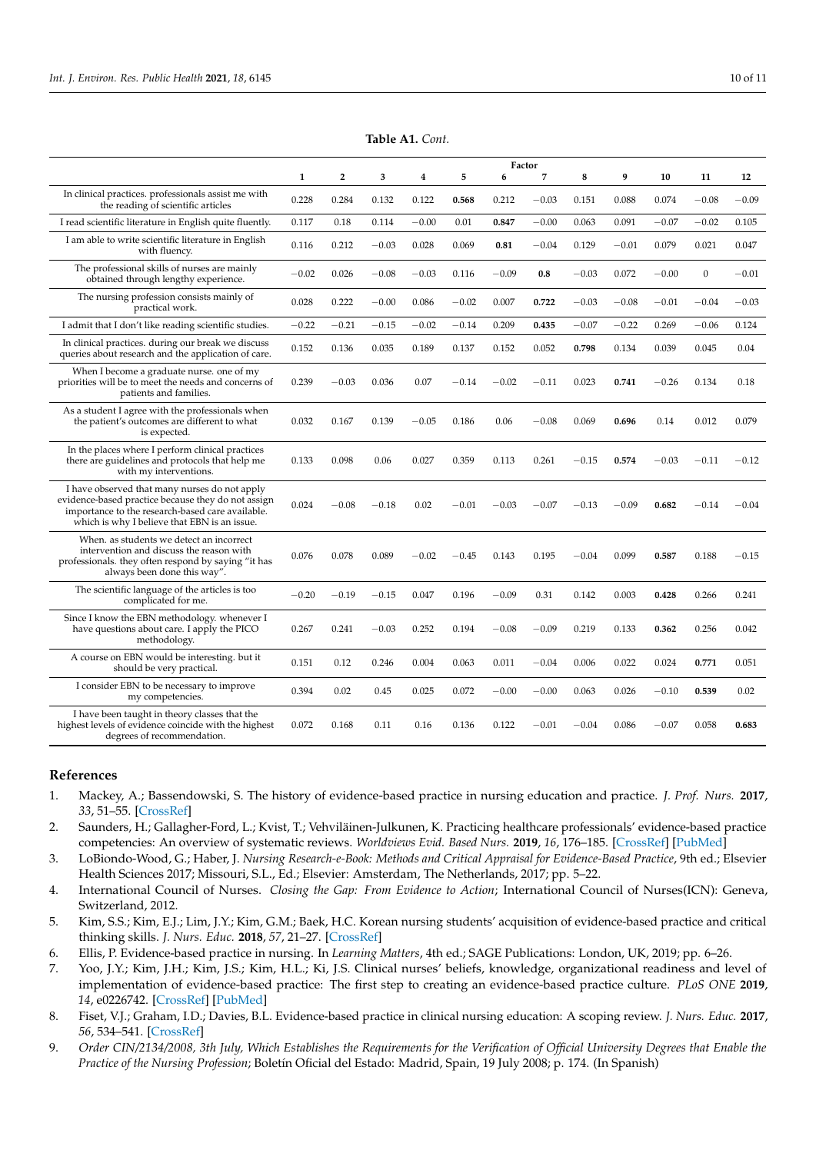|                                                                                                                                                                                                         | Factor       |                |         |         |         |         |         |         |         |         |              |         |
|---------------------------------------------------------------------------------------------------------------------------------------------------------------------------------------------------------|--------------|----------------|---------|---------|---------|---------|---------|---------|---------|---------|--------------|---------|
|                                                                                                                                                                                                         | $\mathbf{1}$ | $\overline{2}$ | 3       | 4       | 5       | 6       | 7       | 8       | 9       | 10      | 11           | 12      |
| In clinical practices. professionals assist me with<br>the reading of scientific articles                                                                                                               | 0.228        | 0.284          | 0.132   | 0.122   | 0.568   | 0.212   | $-0.03$ | 0.151   | 0.088   | 0.074   | $-0.08$      | $-0.09$ |
| I read scientific literature in English quite fluently.                                                                                                                                                 | 0.117        | 0.18           | 0.114   | $-0.00$ | 0.01    | 0.847   | $-0.00$ | 0.063   | 0.091   | $-0.07$ | $-0.02$      | 0.105   |
| I am able to write scientific literature in English<br>with fluency.                                                                                                                                    | 0.116        | 0.212          | $-0.03$ | 0.028   | 0.069   | 0.81    | $-0.04$ | 0.129   | $-0.01$ | 0.079   | 0.021        | 0.047   |
| The professional skills of nurses are mainly<br>obtained through lengthy experience.                                                                                                                    | $-0.02$      | 0.026          | $-0.08$ | $-0.03$ | 0.116   | $-0.09$ | 0.8     | $-0.03$ | 0.072   | $-0.00$ | $\mathbf{0}$ | $-0.01$ |
| The nursing profession consists mainly of<br>practical work.                                                                                                                                            | 0.028        | 0.222          | $-0.00$ | 0.086   | $-0.02$ | 0.007   | 0.722   | $-0.03$ | $-0.08$ | $-0.01$ | $-0.04$      | $-0.03$ |
| I admit that I don't like reading scientific studies.                                                                                                                                                   | $-0.22$      | $-0.21$        | $-0.15$ | $-0.02$ | $-0.14$ | 0.209   | 0.435   | $-0.07$ | $-0.22$ | 0.269   | $-0.06$      | 0.124   |
| In clinical practices. during our break we discuss<br>queries about research and the application of care.                                                                                               | 0.152        | 0.136          | 0.035   | 0.189   | 0.137   | 0.152   | 0.052   | 0.798   | 0.134   | 0.039   | 0.045        | 0.04    |
| When I become a graduate nurse. one of my<br>priorities will be to meet the needs and concerns of<br>patients and families.                                                                             | 0.239        | $-0.03$        | 0.036   | 0.07    | $-0.14$ | $-0.02$ | $-0.11$ | 0.023   | 0.741   | $-0.26$ | 0.134        | 0.18    |
| As a student I agree with the professionals when<br>the patient's outcomes are different to what<br>is expected.                                                                                        | 0.032        | 0.167          | 0.139   | $-0.05$ | 0.186   | 0.06    | $-0.08$ | 0.069   | 0.696   | 0.14    | 0.012        | 0.079   |
| In the places where I perform clinical practices<br>there are guidelines and protocols that help me<br>with my interventions.                                                                           | 0.133        | 0.098          | 0.06    | 0.027   | 0.359   | 0.113   | 0.261   | $-0.15$ | 0.574   | $-0.03$ | $-0.11$      | $-0.12$ |
| I have observed that many nurses do not apply<br>evidence-based practice because they do not assign<br>importance to the research-based care available.<br>which is why I believe that EBN is an issue. | 0.024        | $-0.08$        | $-0.18$ | 0.02    | $-0.01$ | $-0.03$ | $-0.07$ | $-0.13$ | $-0.09$ | 0.682   | $-0.14$      | $-0.04$ |
| When, as students we detect an incorrect<br>intervention and discuss the reason with<br>professionals. they often respond by saying "it has<br>always been done this way".                              | 0.076        | 0.078          | 0.089   | $-0.02$ | $-0.45$ | 0.143   | 0.195   | $-0.04$ | 0.099   | 0.587   | 0.188        | $-0.15$ |
| The scientific language of the articles is too<br>complicated for me.                                                                                                                                   | $-0.20$      | $-0.19$        | $-0.15$ | 0.047   | 0.196   | $-0.09$ | 0.31    | 0.142   | 0.003   | 0.428   | 0.266        | 0.241   |
| Since I know the EBN methodology. whenever I<br>have questions about care. I apply the PICO<br>methodology.                                                                                             | 0.267        | 0.241          | $-0.03$ | 0.252   | 0.194   | $-0.08$ | $-0.09$ | 0.219   | 0.133   | 0.362   | 0.256        | 0.042   |
| A course on EBN would be interesting. but it<br>should be very practical.                                                                                                                               | 0.151        | 0.12           | 0.246   | 0.004   | 0.063   | 0.011   | $-0.04$ | 0.006   | 0.022   | 0.024   | 0.771        | 0.051   |
| I consider EBN to be necessary to improve<br>my competencies.                                                                                                                                           | 0.394        | 0.02           | 0.45    | 0.025   | 0.072   | $-0.00$ | $-0.00$ | 0.063   | 0.026   | $-0.10$ | 0.539        | 0.02    |
| I have been taught in theory classes that the<br>highest levels of evidence coincide with the highest<br>degrees of recommendation.                                                                     | 0.072        | 0.168          | 0.11    | 0.16    | 0.136   | 0.122   | $-0.01$ | $-0.04$ | 0.086   | $-0.07$ | 0.058        | 0.683   |

**Table A1.** *Cont.*

# **References**

- <span id="page-9-0"></span>1. Mackey, A.; Bassendowski, S. The history of evidence-based practice in nursing education and practice. *J. Prof. Nurs.* **2017**, *33*, 51–55. [\[CrossRef\]](http://doi.org/10.1016/j.profnurs.2016.05.009)
- <span id="page-9-1"></span>2. Saunders, H.; Gallagher-Ford, L.; Kvist, T.; Vehviläinen-Julkunen, K. Practicing healthcare professionals' evidence-based practice competencies: An overview of systematic reviews. *Worldviews Evid. Based Nurs.* **2019**, *16*, 176–185. [\[CrossRef\]](http://doi.org/10.1111/wvn.12363) [\[PubMed\]](http://www.ncbi.nlm.nih.gov/pubmed/31074582)
- <span id="page-9-2"></span>3. LoBiondo-Wood, G.; Haber, J. *Nursing Research-e-Book: Methods and Critical Appraisal for Evidence-Based Practice*, 9th ed.; Elsevier Health Sciences 2017; Missouri, S.L., Ed.; Elsevier: Amsterdam, The Netherlands, 2017; pp. 5–22.
- <span id="page-9-3"></span>4. International Council of Nurses. *Closing the Gap: From Evidence to Action*; International Council of Nurses(ICN): Geneva, Switzerland, 2012.
- <span id="page-9-4"></span>5. Kim, S.S.; Kim, E.J.; Lim, J.Y.; Kim, G.M.; Baek, H.C. Korean nursing students' acquisition of evidence-based practice and critical thinking skills. *J. Nurs. Educ.* **2018**, *57*, 21–27. [\[CrossRef\]](http://doi.org/10.3928/01484834-20180102-05)
- <span id="page-9-5"></span>6. Ellis, P. Evidence-based practice in nursing. In *Learning Matters*, 4th ed.; SAGE Publications: London, UK, 2019; pp. 6–26.
- <span id="page-9-6"></span>7. Yoo, J.Y.; Kim, J.H.; Kim, J.S.; Kim, H.L.; Ki, J.S. Clinical nurses' beliefs, knowledge, organizational readiness and level of implementation of evidence-based practice: The first step to creating an evidence-based practice culture. *PLoS ONE* **2019**, *14*, e0226742. [\[CrossRef\]](http://doi.org/10.1371/journal.pone.0226742) [\[PubMed\]](http://www.ncbi.nlm.nih.gov/pubmed/31877147)
- <span id="page-9-7"></span>8. Fiset, V.J.; Graham, I.D.; Davies, B.L. Evidence-based practice in clinical nursing education: A scoping review. *J. Nurs. Educ.* **2017**, *56*, 534–541. [\[CrossRef\]](http://doi.org/10.3928/01484834-20170817-04)
- <span id="page-9-8"></span>9. *Order CIN/2134/2008, 3th July, Which Establishes the Requirements for the Verification of Official University Degrees that Enable the Practice of the Nursing Profession*; Boletín Oficial del Estado: Madrid, Spain, 19 July 2008; p. 174. (In Spanish)